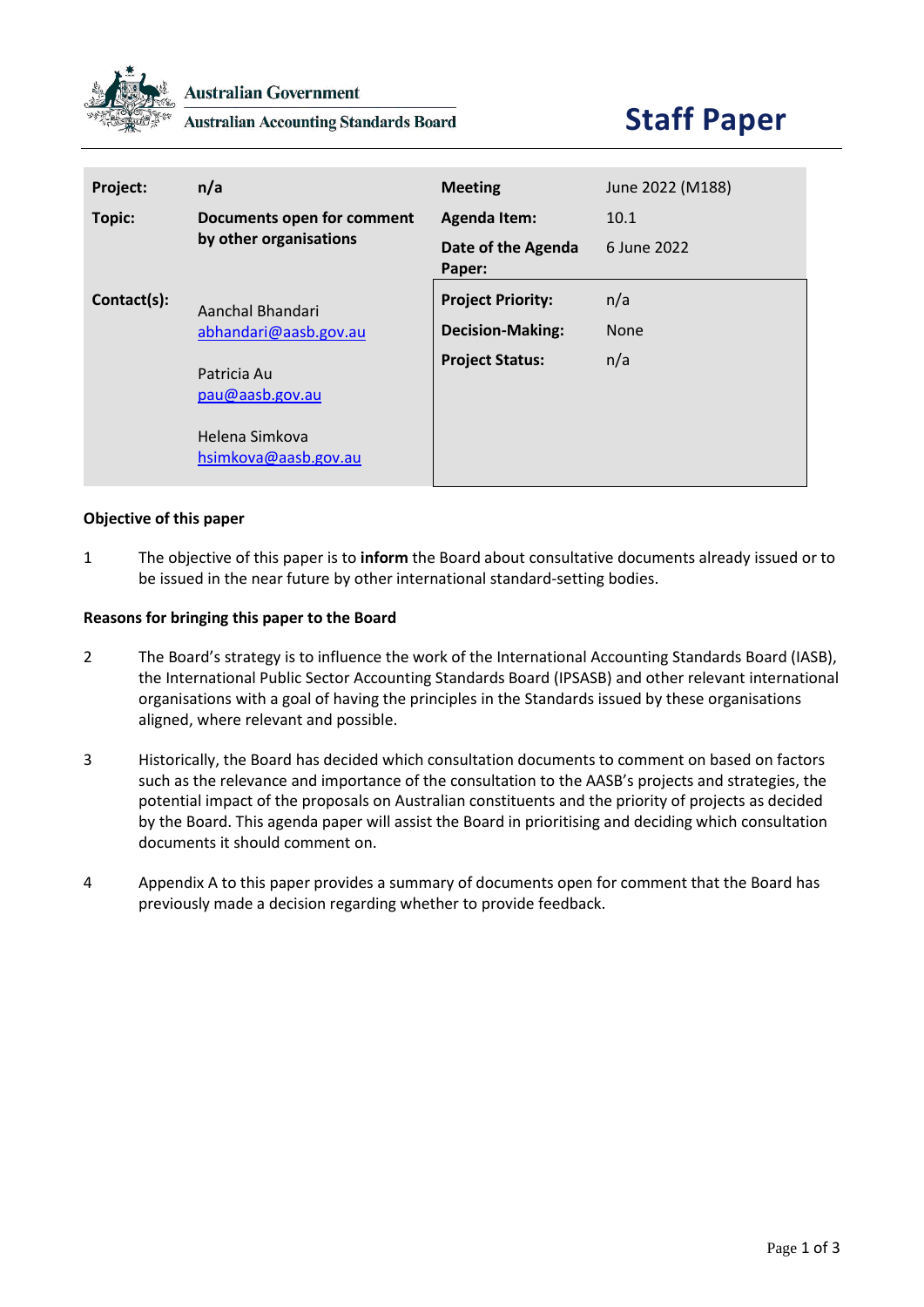

**Australian Accounting Standards Board** 

## **Staff Paper**

| Project:    | n/a                                                                      | <b>Meeting</b>               | June 2022 (M188) |
|-------------|--------------------------------------------------------------------------|------------------------------|------------------|
| Topic:      | Documents open for comment<br>by other organisations                     | <b>Agenda Item:</b>          | 10.1             |
|             |                                                                          | Date of the Agenda<br>Paper: | 6 June 2022      |
| Contact(s): | Aanchal Bhandari<br>abhandari@aasb.gov.au                                | <b>Project Priority:</b>     | n/a              |
|             |                                                                          | <b>Decision-Making:</b>      | <b>None</b>      |
|             | Patricia Au<br>pau@aasb.gov.au<br>Helena Simkova<br>hsimkova@aasb.gov.au | <b>Project Status:</b>       | n/a              |

## **Objective of this paper**

1 The objective of this paper is to **inform** the Board about consultative documents already issued or to be issued in the near future by other international standard-setting bodies.

## **Reasons for bringing this paper to the Board**

- 2 The Board's strategy is to influence the work of the International Accounting Standards Board (IASB), the International Public Sector Accounting Standards Board (IPSASB) and other relevant international organisations with a goal of having the principles in the Standards issued by these organisations aligned, where relevant and possible.
- 3 Historically, the Board has decided which consultation documents to comment on based on factors such as the relevance and importance of the consultation to the AASB's projects and strategies, the potential impact of the proposals on Australian constituents and the priority of projects as decided by the Board. This agenda paper will assist the Board in prioritising and deciding which consultation documents it should comment on.
- 4 Appendix A to this paper provides a summary of documents open for comment that the Board has previously made a decision regarding whether to provide feedback.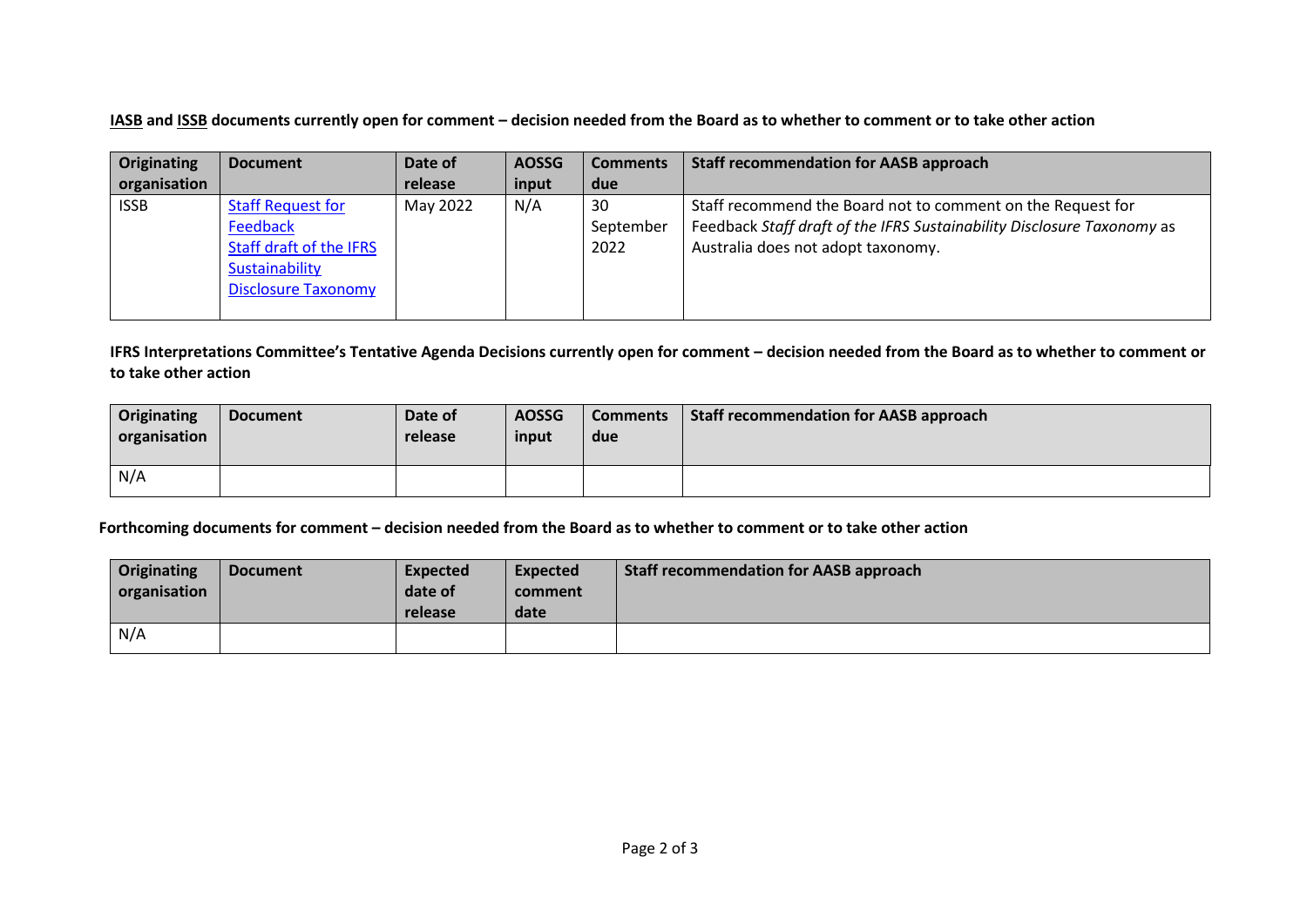**IASB and ISSB documents currently open for comment – decision needed from the Board as to whether to comment or to take other action**

| Originating  | <b>Document</b>            | Date of  | <b>AOSSG</b> | <b>Comments</b> | <b>Staff recommendation for AASB approach</b>                          |
|--------------|----------------------------|----------|--------------|-----------------|------------------------------------------------------------------------|
| organisation |                            | release  | input        | due             |                                                                        |
| <b>ISSB</b>  | <b>Staff Request for</b>   | May 2022 | N/A          | 30              | Staff recommend the Board not to comment on the Request for            |
|              | Feedback                   |          |              | September       | Feedback Staff draft of the IFRS Sustainability Disclosure Taxonomy as |
|              | Staff draft of the IFRS    |          |              | 2022            | Australia does not adopt taxonomy.                                     |
|              | Sustainability             |          |              |                 |                                                                        |
|              | <b>Disclosure Taxonomy</b> |          |              |                 |                                                                        |
|              |                            |          |              |                 |                                                                        |

**IFRS Interpretations Committee's Tentative Agenda Decisions currently open for comment – decision needed from the Board as to whether to comment or to take other action**

| <b>Originating</b><br>organisation | <b>Document</b> | Date of<br>release | <b>AOSSG</b><br>input | <b>Comments</b><br>due | Staff recommendation for AASB approach |
|------------------------------------|-----------------|--------------------|-----------------------|------------------------|----------------------------------------|
| N/A                                |                 |                    |                       |                        |                                        |

**Forthcoming documents for comment – decision needed from the Board as to whether to comment or to take other action**

| <b>Originating</b><br>organisation | <b>Document</b> | <b>Expected</b><br>date of<br>release | <b>Expected</b><br>comment<br>date | <b>Staff recommendation for AASB approach</b> |
|------------------------------------|-----------------|---------------------------------------|------------------------------------|-----------------------------------------------|
| N/A                                |                 |                                       |                                    |                                               |